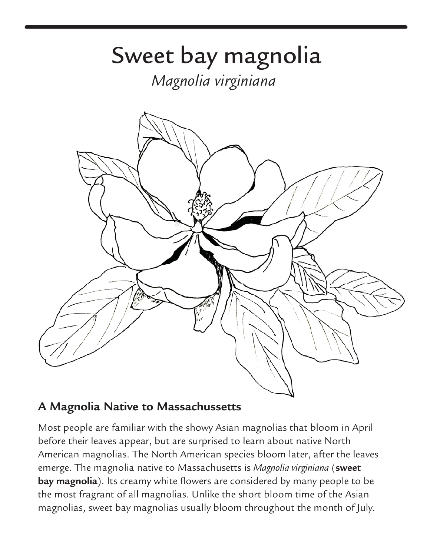## Magnolia virginiana



## **A Magnolia Native to Massachussetts A Magnolia Native to**

Most people are familiar with the showy Asian magnolias that bloom in April before their leaves appear, but are surprised to learn about native North American magnolias. The North American species bloom later, after the leaves emerge. The magnolia native to Massachusetts is *Magnolia virginiana* (**sweet bay magnolia**). Its creamy white flowers are considered by many people to be the most fragrant of all magnolias. Unlike the short bloom time of the Asian magnolias, sweet bay magnolias usually bloom throughout the month of July.